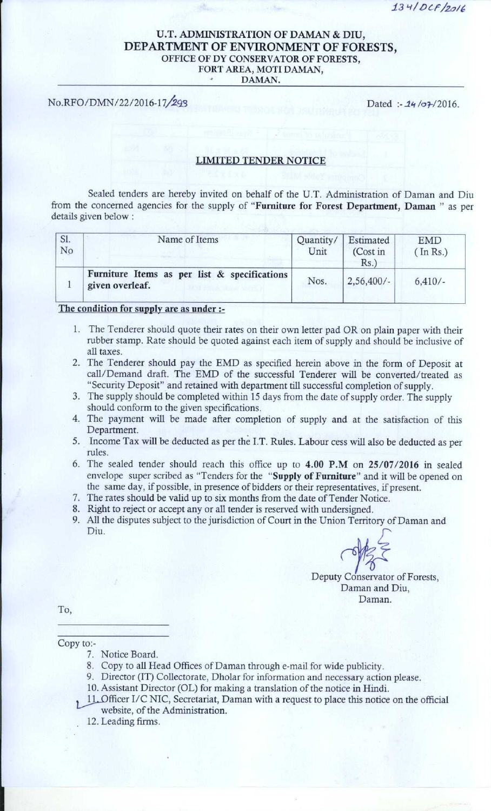134/DCF/2016

## U.T. ADMINISTRATION OF DAMAN & DIU, DEPARTMENT OF ENVIRONMENT OF FORESTS, OFFICE OF DY CONSERVATOR OF FORESTS, FORT AREA, MOTI DAMAN, DAMAN.

No.RFO/DMN/22/2016-17/293 Dated *:- 14* /07/2016.

## LIMITED TENDER NOTICE

Sealed tenders are hereby invited on behalf of the U.T. Administration of Daman and Diu from the concerned **agencies** for the supply of "**Furniture for Forest Department** , **Daman " as per** details given below :

| SI.<br>No | Name of Items                                                   | Quantity/<br>Unit | Estimated<br>(Cost in<br>Rs. | <b>EMD</b><br>(In Rs.) |
|-----------|-----------------------------------------------------------------|-------------------|------------------------------|------------------------|
|           | Furniture Items as per list & specifications<br>given overleaf. | Nos.              | 2,56,400/                    | $6,410/-$              |

## The condition for supply **are as under: -**

- **1 . The Tenderer should quote their rates on their own letter pad OR on plain paper with their rubber stamp** . **Rate should be quoted against each item of supply and should be inclusive of all taxes.**
- **2. The Tenderer should pay the EMD as specified herein above in the form of Deposit at call/Demand draft** . **The EMD of the successful Tenderer will be converted** /**treated as** "Security Deposit" and retained with department till successful completion of supply.
- **3. The supply should be completed within 15 days from the date of supply order. The supply should conform to the given specifications.**
- **4. The payment will be made after completion of supply and at the satisfaction of this Department.**
- **5. Income Tax will be deducted as per the I.T. Rules** . **Labour cess will also be deducted as per rules.**
- **6. The sealed tender should reach this office up to 4.00 P** .**M on 25** /**07/2016 in sealed envelope super scribed as** " **Tenders for the "Supply of Furniture** " **and it will be opened on the same day** , **if possible** , **in presence of bidders or their representatives** , **if present.** The sealed tender should reach this office up to 4.00 P.M on 25/0;<br>The sealed tender should reach this office up to 4.00 P.M on 25/0;<br>envelope super scribed as "Tenders for the "**Supply of Furniture**" and it<br>the same day,
- **7. The rates should be valid up to six months from the date of Tender Notice.**
- **8. Right to reject or accept any or all tender is reserved with undersigned.**
- **9. All the disputes subject to the jurisdiction of Court in the Union Territory of Daman and**

Deputy Conservator of Forests, Daman and Diu, Daman.

To,

**Copy to:-**

- **7. Notice Board.**
- **8. Copy to all Head Offices of Daman through e-mail for wide publicity.**
- **9. Director** (**IT) Collectorate** , **Dholar for information and necessary action please.**
- **10. Assistant Director** (**OL) for making a translation of the notice in Hindi.**
- **X11 \_Officer I**/C NIC, **Secretariat**, **Daman with a request to place this notice on the official website** , **of the Administration.**
- **12. Leading firms.**